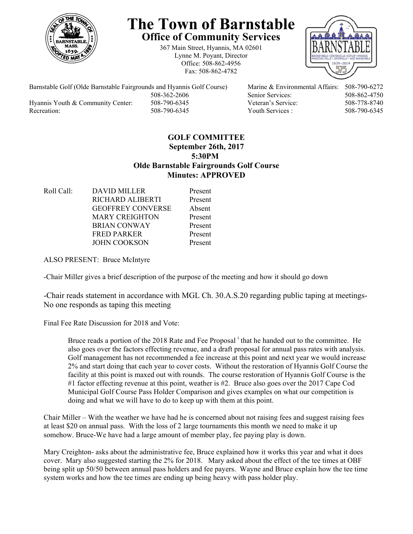

# **The Town of Barnstable Office of Community Services**

367 Main Street, Hyannis, MA 02601 Lynne M. Poyant, Director Office: 508-862-4956 Fax: 508-862-4782



Barnstable Golf (Olde Barnstable Fairgrounds and Hyannis Golf Course) Marine & Environmental Affairs: 508-790-6272 Hyannis Youth & Community Center: 508-790-6345 Veteran's Service: 508-778-8740 Recreation: 508-790-6345 Youth Services : 508-790-6345 S08-790-6345

508-362-2606 Senior Services: 508-862-4750

# **GOLF COMMITTEE September 26th, 2017 5:30PM Olde Barnstable Fairgrounds Golf Course Minutes: APPROVED**

Roll Call: DAVID MILLER Present RICHARD ALIBERTI Present GEOFFREY CONVERSE Absent MARY CREIGHTON Present BRIAN CONWAY Present FRED PARKER Present JOHN COOKSON Present

ALSO PRESENT: Bruce McIntyre

-Chair Miller gives a brief description of the purpose of the meeting and how it should go down

-Chair reads statement in accordance with MGL Ch. 30.A.S.20 regarding public taping at meetings-No one responds as taping this meeting

Final Fee Rate Discussion for 2018 and Vote:

Bruce reads a portion of the 2018 Rate and Fee Proposal <sup>i</sup> that he handed out to the committee. He also goes over the factors effecting revenue, and a draft proposal for annual pass rates with analysis. Golf management has not recommended a fee increase at this point and next year we would increase 2% and start doing that each year to cover costs. Without the restoration of Hyannis Golf Course the facility at this point is maxed out with rounds. The course restoration of Hyannis Golf Course is the #1 factor effecting revenue at this point, weather is #2. Bruce also goes over the 2017 Cape Cod Municipal Golf Course Pass Holder Comparison and gives examples on what our competition is doing and what we will have to do to keep up with them at this point.

Chair Miller – With the weather we have had he is concerned about not raising fees and suggest raising fees at least \$20 on annual pass. With the loss of 2 large tournaments this month we need to make it up somehow. Bruce-We have had a large amount of member play, fee paying play is down.

Mary Creighton- asks about the administrative fee, Bruce explained how it works this year and what it does cover. Mary also suggested starting the 2% for 2018. Mary asked about the effect of the tee times at OBF being split up 50/50 between annual pass holders and fee payers. Wayne and Bruce explain how the tee time system works and how the tee times are ending up being heavy with pass holder play.